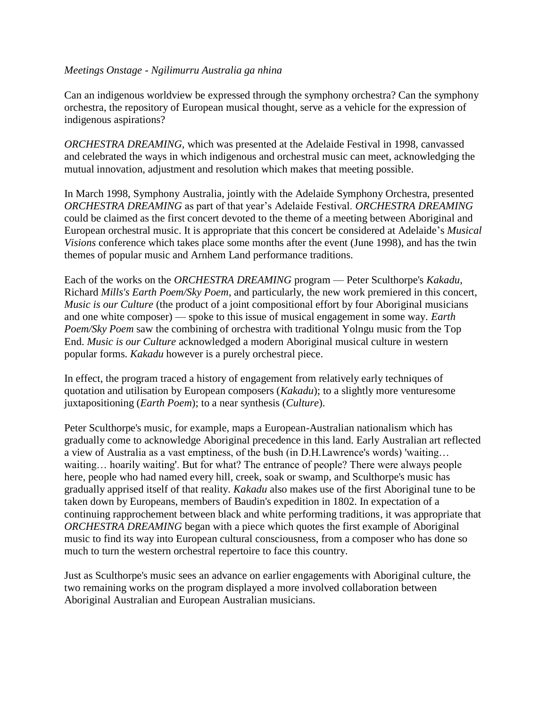#### *Meetings Onstage - Ngilimurru Australia ga nhina*

Can an indigenous worldview be expressed through the symphony orchestra? Can the symphony orchestra, the repository of European musical thought, serve as a vehicle for the expression of indigenous aspirations?

*ORCHESTRA DREAMING,* which was presented at the Adelaide Festival in 1998, canvassed and celebrated the ways in which indigenous and orchestral music can meet, acknowledging the mutual innovation, adjustment and resolution which makes that meeting possible.

In March 1998, Symphony Australia, jointly with the Adelaide Symphony Orchestra, presented *ORCHESTRA DREAMING* as part of that year's Adelaide Festival. *ORCHESTRA DREAMING* could be claimed as the first concert devoted to the theme of a meeting between Aboriginal and European orchestral music. It is appropriate that this concert be considered at Adelaide's *Musical Visions* conference which takes place some months after the event (June 1998), and has the twin themes of popular music and Arnhem Land performance traditions.

Each of the works on the *ORCHESTRA DREAMING* program — Peter Sculthorpe's *Kakadu*, Richard *Mills's Earth Poem/Sky Poem*, and particularly, the new work premiered in this concert, *Music is our Culture* (the product of a joint compositional effort by four Aboriginal musicians and one white composer) — spoke to this issue of musical engagement in some way. *Earth Poem/Sky Poem* saw the combining of orchestra with traditional Yolngu music from the Top End. *Music is our Culture* acknowledged a modern Aboriginal musical culture in western popular forms. *Kakadu* however is a purely orchestral piece.

In effect, the program traced a history of engagement from relatively early techniques of quotation and utilisation by European composers (*Kakadu*); to a slightly more venturesome juxtapositioning (*Earth Poem*); to a near synthesis (*Culture*).

Peter Sculthorpe's music, for example, maps a European-Australian nationalism which has gradually come to acknowledge Aboriginal precedence in this land. Early Australian art reflected a view of Australia as a vast emptiness, of the bush (in D.H.Lawrence's words) 'waiting… waiting… hoarily waiting'. But for what? The entrance of people? There were always people here, people who had named every hill, creek, soak or swamp, and Sculthorpe's music has gradually apprised itself of that reality. *Kakadu* also makes use of the first Aboriginal tune to be taken down by Europeans, members of Baudin's expedition in 1802. In expectation of a continuing rapprochement between black and white performing traditions, it was appropriate that *ORCHESTRA DREAMING* began with a piece which quotes the first example of Aboriginal music to find its way into European cultural consciousness, from a composer who has done so much to turn the western orchestral repertoire to face this country.

Just as Sculthorpe's music sees an advance on earlier engagements with Aboriginal culture, the two remaining works on the program displayed a more involved collaboration between Aboriginal Australian and European Australian musicians.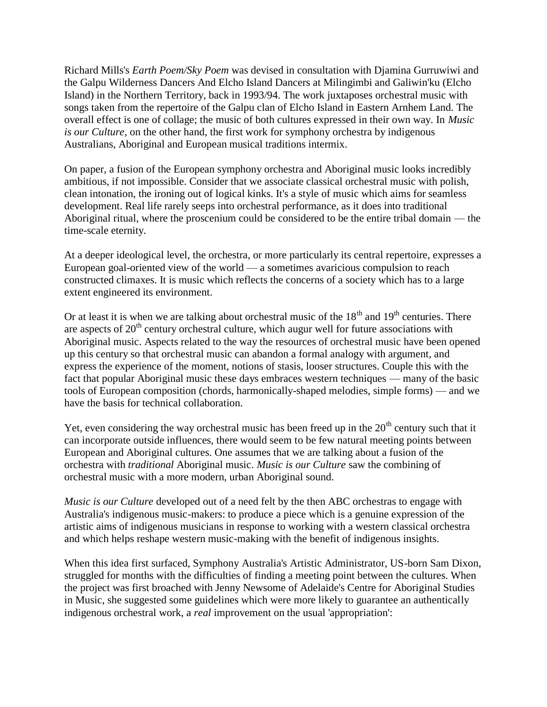Richard Mills's *Earth Poem/Sky Poem* was devised in consultation with Djamina Gurruwiwi and the Galpu Wilderness Dancers And Elcho Island Dancers at Milingimbi and Galiwin'ku (Elcho Island) in the Northern Territory, back in 1993/94. The work juxtaposes orchestral music with songs taken from the repertoire of the Galpu clan of Elcho Island in Eastern Arnhem Land. The overall effect is one of collage; the music of both cultures expressed in their own way. In *Music is our Culture*, on the other hand, the first work for symphony orchestra by indigenous Australians, Aboriginal and European musical traditions intermix.

On paper, a fusion of the European symphony orchestra and Aboriginal music looks incredibly ambitious, if not impossible. Consider that we associate classical orchestral music with polish, clean intonation, the ironing out of logical kinks. It's a style of music which aims for seamless development. Real life rarely seeps into orchestral performance, as it does into traditional Aboriginal ritual, where the proscenium could be considered to be the entire tribal domain — the time-scale eternity.

At a deeper ideological level, the orchestra, or more particularly its central repertoire, expresses a European goal-oriented view of the world — a sometimes avaricious compulsion to reach constructed climaxes. It is music which reflects the concerns of a society which has to a large extent engineered its environment.

Or at least it is when we are talking about orchestral music of the  $18<sup>th</sup>$  and  $19<sup>th</sup>$  centuries. There are aspects of  $20<sup>th</sup>$  century orchestral culture, which augur well for future associations with Aboriginal music. Aspects related to the way the resources of orchestral music have been opened up this century so that orchestral music can abandon a formal analogy with argument, and express the experience of the moment, notions of stasis, looser structures. Couple this with the fact that popular Aboriginal music these days embraces western techniques — many of the basic tools of European composition (chords, harmonically-shaped melodies, simple forms) — and we have the basis for technical collaboration.

Yet, even considering the way orchestral music has been freed up in the  $20<sup>th</sup>$  century such that it can incorporate outside influences, there would seem to be few natural meeting points between European and Aboriginal cultures. One assumes that we are talking about a fusion of the orchestra with *traditional* Aboriginal music. *Music is our Culture* saw the combining of orchestral music with a more modern, urban Aboriginal sound.

*Music is our Culture* developed out of a need felt by the then ABC orchestras to engage with Australia's indigenous music-makers: to produce a piece which is a genuine expression of the artistic aims of indigenous musicians in response to working with a western classical orchestra and which helps reshape western music-making with the benefit of indigenous insights.

When this idea first surfaced, Symphony Australia's Artistic Administrator, US-born Sam Dixon, struggled for months with the difficulties of finding a meeting point between the cultures. When the project was first broached with Jenny Newsome of Adelaide's Centre for Aboriginal Studies in Music, she suggested some guidelines which were more likely to guarantee an authentically indigenous orchestral work, a *real* improvement on the usual 'appropriation':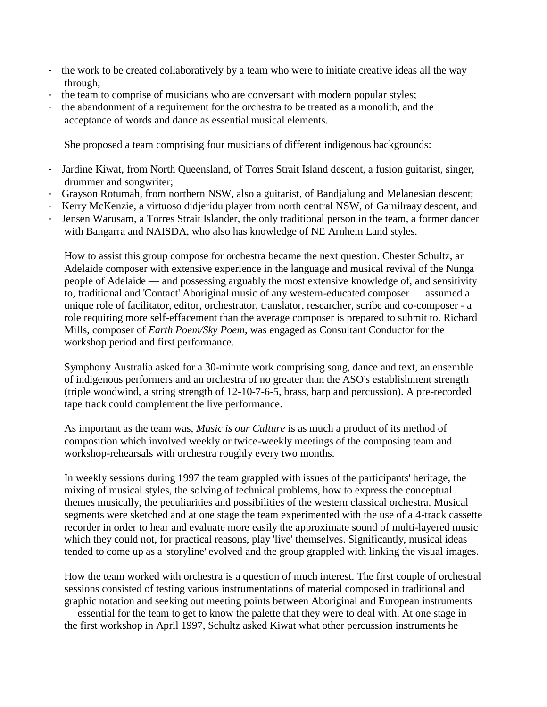- the work to be created collaboratively by a team who were to initiate creative ideas all the way through;
- the team to comprise of musicians who are conversant with modern popular styles;
- the abandonment of a requirement for the orchestra to be treated as a monolith, and the acceptance of words and dance as essential musical elements.

She proposed a team comprising four musicians of different indigenous backgrounds:

- Jardine Kiwat, from North Queensland, of Torres Strait Island descent, a fusion guitarist, singer, drummer and songwriter;
- Grayson Rotumah, from northern NSW, also a guitarist, of Bandjalung and Melanesian descent;
- Kerry McKenzie, a virtuoso didjeridu player from north central NSW, of Gamilraay descent, and
- Jensen Warusam, a Torres Strait Islander, the only traditional person in the team, a former dancer with Bangarra and NAISDA, who also has knowledge of NE Arnhem Land styles.

How to assist this group compose for orchestra became the next question. Chester Schultz, an Adelaide composer with extensive experience in the language and musical revival of the Nunga people of Adelaide — and possessing arguably the most extensive knowledge of, and sensitivity to, traditional and 'Contact' Aboriginal music of any western-educated composer — assumed a unique role of facilitator, editor, orchestrator, translator, researcher, scribe and co-composer - a role requiring more self-effacement than the average composer is prepared to submit to. Richard Mills, composer of *Earth Poem/Sky Poem*, was engaged as Consultant Conductor for the workshop period and first performance.

Symphony Australia asked for a 30-minute work comprising song, dance and text, an ensemble of indigenous performers and an orchestra of no greater than the ASO's establishment strength (triple woodwind, a string strength of 12-10-7-6-5, brass, harp and percussion). A pre-recorded tape track could complement the live performance.

As important as the team was, *Music is our Culture* is as much a product of its method of composition which involved weekly or twice-weekly meetings of the composing team and workshop-rehearsals with orchestra roughly every two months.

In weekly sessions during 1997 the team grappled with issues of the participants' heritage, the mixing of musical styles, the solving of technical problems, how to express the conceptual themes musically, the peculiarities and possibilities of the western classical orchestra. Musical segments were sketched and at one stage the team experimented with the use of a 4-track cassette recorder in order to hear and evaluate more easily the approximate sound of multi-layered music which they could not, for practical reasons, play 'live' themselves. Significantly, musical ideas tended to come up as a 'storyline' evolved and the group grappled with linking the visual images.

How the team worked with orchestra is a question of much interest. The first couple of orchestral sessions consisted of testing various instrumentations of material composed in traditional and graphic notation and seeking out meeting points between Aboriginal and European instruments — essential for the team to get to know the palette that they were to deal with. At one stage in the first workshop in April 1997, Schultz asked Kiwat what other percussion instruments he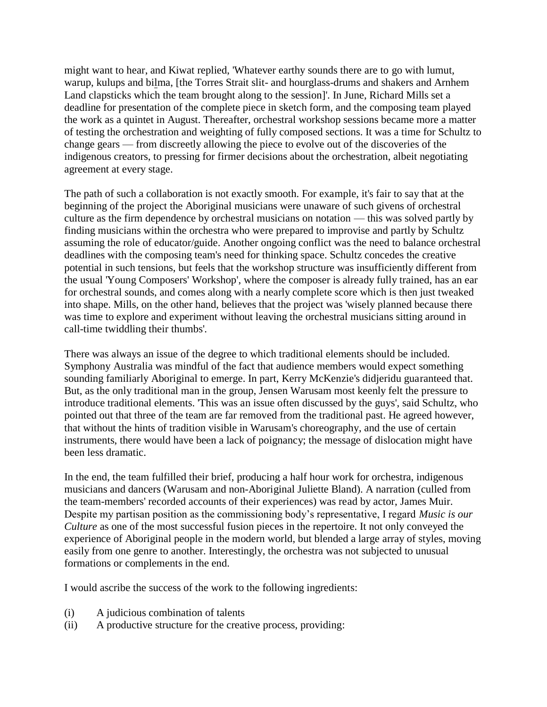might want to hear, and Kiwat replied, 'Whatever earthy sounds there are to go with lumut, warup, kulups and bilma, [the Torres Strait slit- and hourglass-drums and shakers and Arnhem Land clapsticks which the team brought along to the session]'. In June, Richard Mills set a deadline for presentation of the complete piece in sketch form, and the composing team played the work as a quintet in August. Thereafter, orchestral workshop sessions became more a matter of testing the orchestration and weighting of fully composed sections. It was a time for Schultz to change gears — from discreetly allowing the piece to evolve out of the discoveries of the indigenous creators, to pressing for firmer decisions about the orchestration, albeit negotiating agreement at every stage.

The path of such a collaboration is not exactly smooth. For example, it's fair to say that at the beginning of the project the Aboriginal musicians were unaware of such givens of orchestral culture as the firm dependence by orchestral musicians on notation — this was solved partly by finding musicians within the orchestra who were prepared to improvise and partly by Schultz assuming the role of educator/guide. Another ongoing conflict was the need to balance orchestral deadlines with the composing team's need for thinking space. Schultz concedes the creative potential in such tensions, but feels that the workshop structure was insufficiently different from the usual 'Young Composers' Workshop', where the composer is already fully trained, has an ear for orchestral sounds, and comes along with a nearly complete score which is then just tweaked into shape. Mills, on the other hand, believes that the project was 'wisely planned because there was time to explore and experiment without leaving the orchestral musicians sitting around in call-time twiddling their thumbs'.

There was always an issue of the degree to which traditional elements should be included. Symphony Australia was mindful of the fact that audience members would expect something sounding familiarly Aboriginal to emerge. In part, Kerry McKenzie's didjeridu guaranteed that. But, as the only traditional man in the group, Jensen Warusam most keenly felt the pressure to introduce traditional elements. 'This was an issue often discussed by the guys', said Schultz, who pointed out that three of the team are far removed from the traditional past. He agreed however, that without the hints of tradition visible in Warusam's choreography, and the use of certain instruments, there would have been a lack of poignancy; the message of dislocation might have been less dramatic.

In the end, the team fulfilled their brief, producing a half hour work for orchestra, indigenous musicians and dancers (Warusam and non-Aboriginal Juliette Bland). A narration (culled from the team-members' recorded accounts of their experiences) was read by actor, James Muir. Despite my partisan position as the commissioning body's representative, I regard *Music is our Culture* as one of the most successful fusion pieces in the repertoire. It not only conveyed the experience of Aboriginal people in the modern world, but blended a large array of styles, moving easily from one genre to another. Interestingly, the orchestra was not subjected to unusual formations or complements in the end.

I would ascribe the success of the work to the following ingredients:

- (i) A judicious combination of talents
- (ii) A productive structure for the creative process, providing: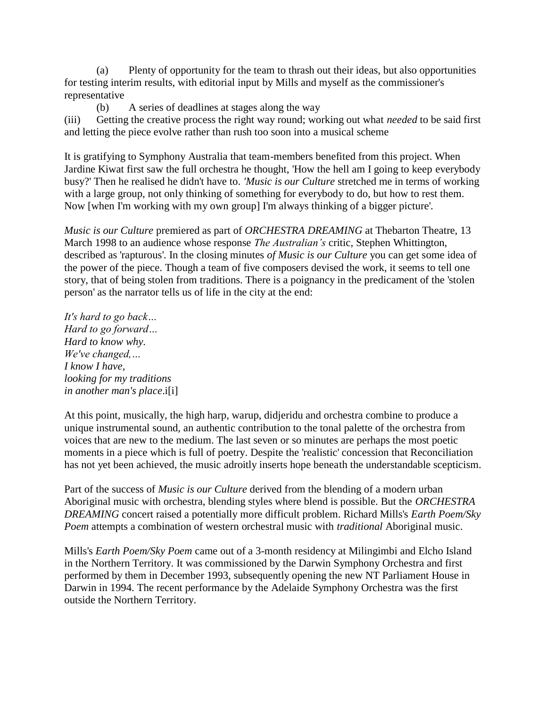(a) Plenty of opportunity for the team to thrash out their ideas, but also opportunities for testing interim results, with editorial input by Mills and myself as the commissioner's representative

(b) A series of deadlines at stages along the way

(iii) Getting the creative process the right way round; working out what *needed* to be said first and letting the piece evolve rather than rush too soon into a musical scheme

It is gratifying to Symphony Australia that team-members benefited from this project. When Jardine Kiwat first saw the full orchestra he thought, 'How the hell am I going to keep everybody busy?' Then he realised he didn't have to. *'Music is our Culture* stretched me in terms of working with a large group, not only thinking of something for everybody to do, but how to rest them. Now [when I'm working with my own group] I'm always thinking of a bigger picture'.

*Music is our Culture* premiered as part of *ORCHESTRA DREAMING* at Thebarton Theatre, 13 March 1998 to an audience whose response *The Australian's* critic, Stephen Whittington, described as 'rapturous'. In the closing minutes *of Music is our Culture* you can get some idea of the power of the piece. Though a team of five composers devised the work, it seems to tell one story, that of being stolen from traditions. There is a poignancy in the predicament of the 'stolen person' as the narrator tells us of life in the city at the end:

*It's hard to go back… Hard to go forward… Hard to know why. We've changed,… I know I have, looking for my traditions in another man's place*.i[i]

At this point, musically, the high harp, warup, didjeridu and orchestra combine to produce a unique instrumental sound, an authentic contribution to the tonal palette of the orchestra from voices that are new to the medium. The last seven or so minutes are perhaps the most poetic moments in a piece which is full of poetry. Despite the 'realistic' concession that Reconciliation has not yet been achieved, the music adroitly inserts hope beneath the understandable scepticism.

Part of the success of *Music is our Culture* derived from the blending of a modern urban Aboriginal music with orchestra, blending styles where blend is possible. But the *ORCHESTRA DREAMING* concert raised a potentially more difficult problem. Richard Mills's *Earth Poem/Sky Poem* attempts a combination of western orchestral music with *traditional* Aboriginal music.

Mills's *Earth Poem/Sky Poem* came out of a 3-month residency at Milingimbi and Elcho Island in the Northern Territory. It was commissioned by the Darwin Symphony Orchestra and first performed by them in December 1993, subsequently opening the new NT Parliament House in Darwin in 1994. The recent performance by the Adelaide Symphony Orchestra was the first outside the Northern Territory.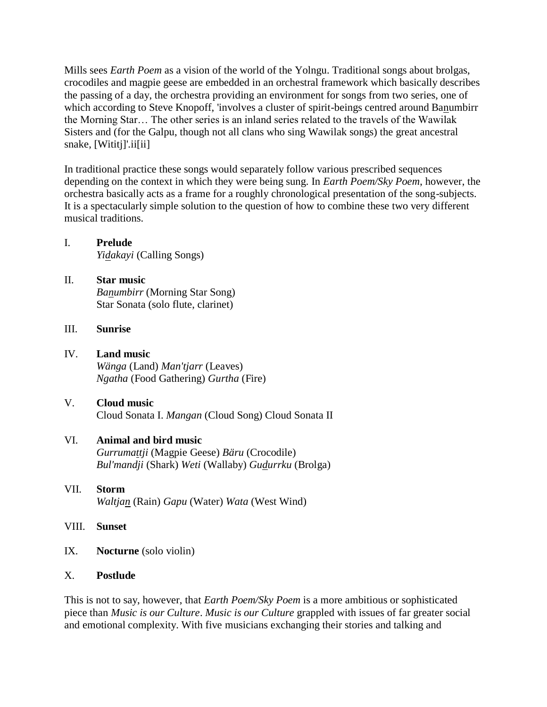Mills sees *Earth Poem* as a vision of the world of the Yolngu. Traditional songs about brolgas, crocodiles and magpie geese are embedded in an orchestral framework which basically describes the passing of a day, the orchestra providing an environment for songs from two series, one of which according to Steve Knopoff, 'involves a cluster of spirit-beings centred around Banumbirr the Morning Star… The other series is an inland series related to the travels of the Wawilak Sisters and (for the Galpu, though not all clans who sing Wawilak songs) the great ancestral snake, [Wititj]'.ii[ii]

In traditional practice these songs would separately follow various prescribed sequences depending on the context in which they were being sung. In *Earth Poem/Sky Poem*, however, the orchestra basically acts as a frame for a roughly chronological presentation of the song-subjects. It is a spectacularly simple solution to the question of how to combine these two very different musical traditions.

# I. **Prelude**

*Yidakayi* (Calling Songs)

II. **Star music** *Banumbirr* (Morning Star Song) Star Sonata (solo flute, clarinet)

### III. **Sunrise**

- IV. **Land music** *Wänga* (Land) *Man'tjarr* (Leaves) *Ngatha* (Food Gathering) *Gurtha* (Fire)
- V. **Cloud music** Cloud Sonata I. *Mangan* (Cloud Song) Cloud Sonata II

## VI. **Animal and bird music**

*Gurrumattji* (Magpie Geese) *Bäru* (Crocodile) *Bul'mandji* (Shark) *Weti* (Wallaby) *Gudurrku* (Brolga)

- VII. **Storm** *Waltjan* (Rain) *Gapu* (Water) *Wata* (West Wind)
- VIII. **Sunset**
- IX. **Nocturne** (solo violin)

## X. **Postlude**

This is not to say, however, that *Earth Poem/Sky Poem* is a more ambitious or sophisticated piece than *Music is our Culture*. *Music is our Culture* grappled with issues of far greater social and emotional complexity. With five musicians exchanging their stories and talking and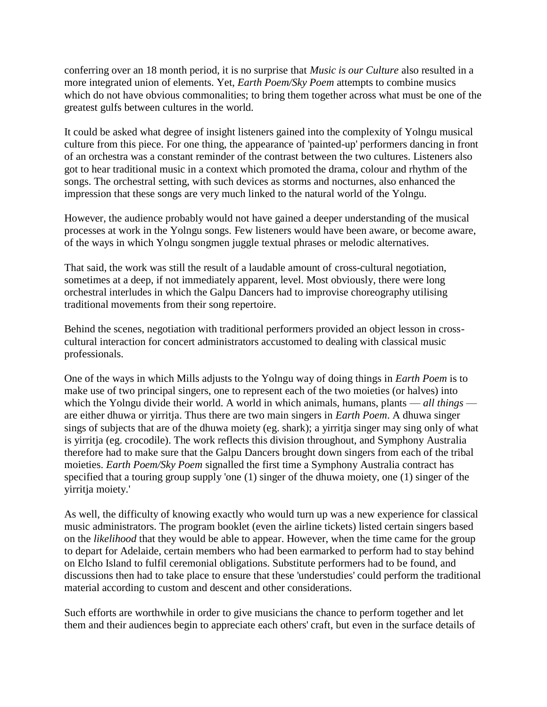conferring over an 18 month period, it is no surprise that *Music is our Culture* also resulted in a more integrated union of elements. Yet, *Earth Poem/Sky Poem* attempts to combine musics which do not have obvious commonalities; to bring them together across what must be one of the greatest gulfs between cultures in the world.

It could be asked what degree of insight listeners gained into the complexity of Yolngu musical culture from this piece. For one thing, the appearance of 'painted-up' performers dancing in front of an orchestra was a constant reminder of the contrast between the two cultures. Listeners also got to hear traditional music in a context which promoted the drama, colour and rhythm of the songs. The orchestral setting, with such devices as storms and nocturnes, also enhanced the impression that these songs are very much linked to the natural world of the Yolngu.

However, the audience probably would not have gained a deeper understanding of the musical processes at work in the Yolngu songs. Few listeners would have been aware, or become aware, of the ways in which Yolngu songmen juggle textual phrases or melodic alternatives.

That said, the work was still the result of a laudable amount of cross-cultural negotiation, sometimes at a deep, if not immediately apparent, level. Most obviously, there were long orchestral interludes in which the Galpu Dancers had to improvise choreography utilising traditional movements from their song repertoire.

Behind the scenes, negotiation with traditional performers provided an object lesson in crosscultural interaction for concert administrators accustomed to dealing with classical music professionals.

One of the ways in which Mills adjusts to the Yolngu way of doing things in *Earth Poem* is to make use of two principal singers, one to represent each of the two moieties (or halves) into which the Yolngu divide their world. A world in which animals, humans, plants — *all things* are either dhuwa or yirritja. Thus there are two main singers in *Earth Poem*. A dhuwa singer sings of subjects that are of the dhuwa moiety (eg. shark); a yirritja singer may sing only of what is yirritja (eg. crocodile). The work reflects this division throughout, and Symphony Australia therefore had to make sure that the Galpu Dancers brought down singers from each of the tribal moieties. *Earth Poem/Sky Poem* signalled the first time a Symphony Australia contract has specified that a touring group supply 'one (1) singer of the dhuwa moiety, one (1) singer of the yirritja moiety.'

As well, the difficulty of knowing exactly who would turn up was a new experience for classical music administrators. The program booklet (even the airline tickets) listed certain singers based on the *likelihood* that they would be able to appear. However, when the time came for the group to depart for Adelaide, certain members who had been earmarked to perform had to stay behind on Elcho Island to fulfil ceremonial obligations. Substitute performers had to be found, and discussions then had to take place to ensure that these 'understudies' could perform the traditional material according to custom and descent and other considerations.

Such efforts are worthwhile in order to give musicians the chance to perform together and let them and their audiences begin to appreciate each others' craft, but even in the surface details of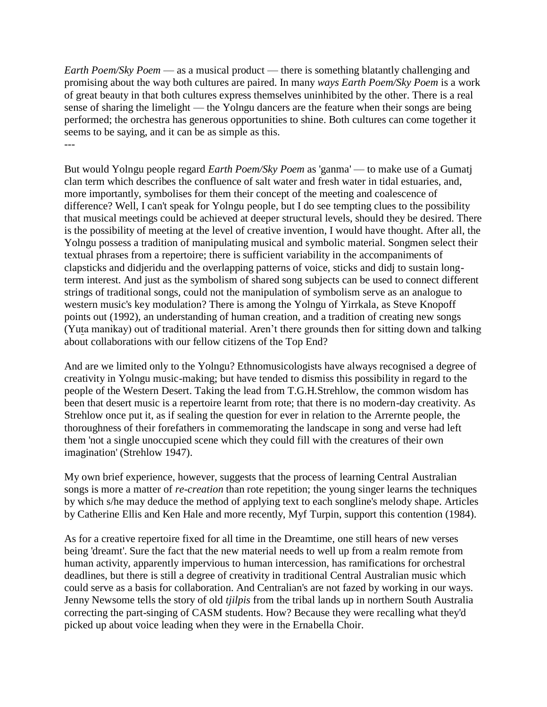*Earth Poem/Sky Poem* — as a musical product — there is something blatantly challenging and promising about the way both cultures are paired. In many *ways Earth Poem/Sky Poem* is a work of great beauty in that both cultures express themselves uninhibited by the other. There is a real sense of sharing the limelight — the Yolngu dancers are the feature when their songs are being performed; the orchestra has generous opportunities to shine. Both cultures can come together it seems to be saying, and it can be as simple as this. ---

But would Yolngu people regard *Earth Poem/Sky Poem* as 'ganma' — to make use of a Gumatj clan term which describes the confluence of salt water and fresh water in tidal estuaries, and, more importantly, symbolises for them their concept of the meeting and coalescence of difference? Well, I can't speak for Yolngu people, but I do see tempting clues to the possibility that musical meetings could be achieved at deeper structural levels, should they be desired. There is the possibility of meeting at the level of creative invention, I would have thought. After all, the Yolngu possess a tradition of manipulating musical and symbolic material. Songmen select their textual phrases from a repertoire; there is sufficient variability in the accompaniments of clapsticks and didjeridu and the overlapping patterns of voice, sticks and didj to sustain longterm interest. And just as the symbolism of shared song subjects can be used to connect different strings of traditional songs, could not the manipulation of symbolism serve as an analogue to western music's key modulation? There is among the Yolngu of Yirrkala, as Steve Knopoff points out (1992), an understanding of human creation, and a tradition of creating new songs (Yuta manikay) out of traditional material. Aren't there grounds then for sitting down and talking about collaborations with our fellow citizens of the Top End?

And are we limited only to the Yolngu? Ethnomusicologists have always recognised a degree of creativity in Yolngu music-making; but have tended to dismiss this possibility in regard to the people of the Western Desert. Taking the lead from T.G.H.Strehlow, the common wisdom has been that desert music is a repertoire learnt from rote; that there is no modern-day creativity. As Strehlow once put it, as if sealing the question for ever in relation to the Arrernte people, the thoroughness of their forefathers in commemorating the landscape in song and verse had left them 'not a single unoccupied scene which they could fill with the creatures of their own imagination' (Strehlow 1947).

My own brief experience, however, suggests that the process of learning Central Australian songs is more a matter of *re-creation* than rote repetition; the young singer learns the techniques by which s/he may deduce the method of applying text to each songline's melody shape. Articles by Catherine Ellis and Ken Hale and more recently, Myf Turpin, support this contention (1984).

As for a creative repertoire fixed for all time in the Dreamtime, one still hears of new verses being 'dreamt'. Sure the fact that the new material needs to well up from a realm remote from human activity, apparently impervious to human intercession, has ramifications for orchestral deadlines, but there is still a degree of creativity in traditional Central Australian music which could serve as a basis for collaboration. And Centralian's are not fazed by working in our ways. Jenny Newsome tells the story of old *tjilpis* from the tribal lands up in northern South Australia correcting the part-singing of CASM students. How? Because they were recalling what they'd picked up about voice leading when they were in the Ernabella Choir.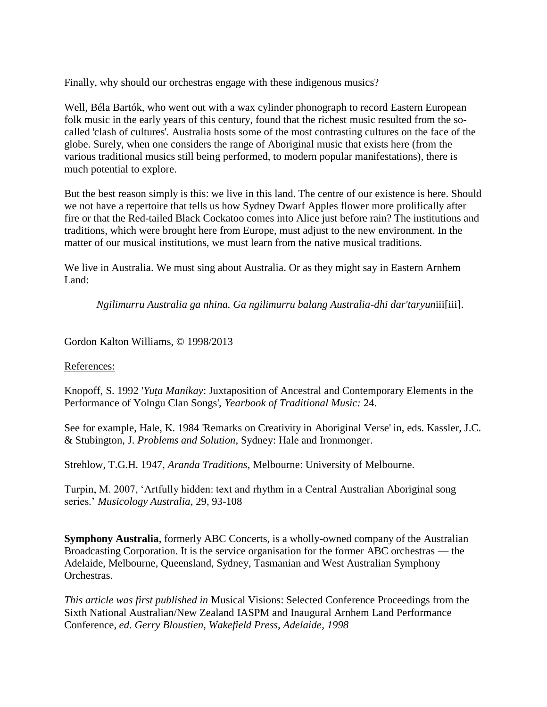Finally, why should our orchestras engage with these indigenous musics?

Well, Béla Bartók, who went out with a wax cylinder phonograph to record Eastern European folk music in the early years of this century, found that the richest music resulted from the socalled 'clash of cultures'. Australia hosts some of the most contrasting cultures on the face of the globe. Surely, when one considers the range of Aboriginal music that exists here (from the various traditional musics still being performed, to modern popular manifestations), there is much potential to explore.

But the best reason simply is this: we live in this land. The centre of our existence is here. Should we not have a repertoire that tells us how Sydney Dwarf Apples flower more prolifically after fire or that the Red-tailed Black Cockatoo comes into Alice just before rain? The institutions and traditions, which were brought here from Europe, must adjust to the new environment. In the matter of our musical institutions, we must learn from the native musical traditions.

We live in Australia. We must sing about Australia. Or as they might say in Eastern Arnhem Land:

*Ngilimurru Australia ga nhina. Ga ngilimurru balang Australia-dhi dar'taryun*iii[iii].

Gordon Kalton Williams, © 1998/2013

#### References:

Knopoff, S. 1992 '*Yuta Manikay*: Juxtaposition of Ancestral and Contemporary Elements in the Performance of Yolngu Clan Songs', *Yearbook of Traditional Music:* 24.

See for example, Hale, K. 1984 'Remarks on Creativity in Aboriginal Verse' in, eds. Kassler, J.C. & Stubington, J. *Problems and Solution,* Sydney: Hale and Ironmonger.

Strehlow, T.G.H. 1947, *Aranda Traditions*, Melbourne: University of Melbourne.

Turpin, M. 2007, 'Artfully hidden: text and rhythm in a Central Australian Aboriginal song series.' *Musicology Australia*, 29, 93-108

**Symphony Australia**, formerly ABC Concerts, is a wholly-owned company of the Australian Broadcasting Corporation. It is the service organisation for the former ABC orchestras — the Adelaide, Melbourne, Queensland, Sydney, Tasmanian and West Australian Symphony Orchestras.

*This article was first published in* Musical Visions: Selected Conference Proceedings from the Sixth National Australian/New Zealand IASPM and Inaugural Arnhem Land Performance Conference, *ed. Gerry Bloustien, Wakefield Press, Adelaide, 1998*